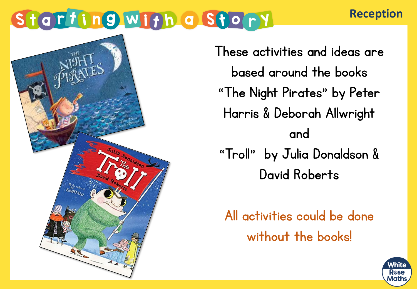#### **Reception**



These activities and ideas are based around the books "The Night Pirates" by Peter Harris & Deborah Allwright and "Troll" by Julia Donaldson & David Roberts

All activities could be done without the books!

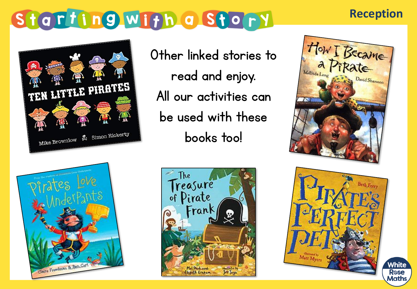#### **Reception**



Other linked stories to read and enjoy. All our activities can be used with these books too!









Maths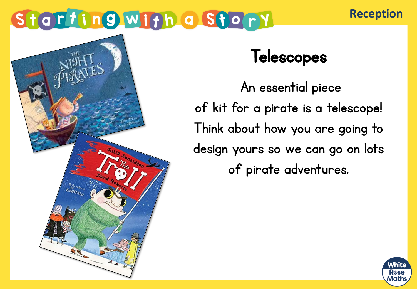#### **Reception**



#### **Telescopes**

An essential piece of kit for a pirate is a telescope! Think about how you are going to design yours so we can go on lots of pirate adventures.

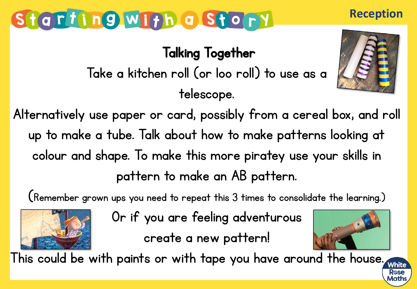Talking Together

#### Take a kitchen roll (or loo roll) to use as a telescope.



**Reception**

Alternatively use paper or card, possibly from a cereal box, and roll up to make a tube. Talk about how to make patterns looking at colour and shape. To make this more piratey use your skills in pattern to make an AB pattern.

(Remember grown ups you need to repeat this 3 times to consolidate the learning.)



Or if you are feeling adventurous create a new pattern!



This could be with paints or with tape you have around the house.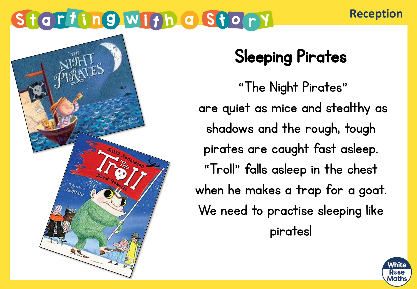## Sleeping Pirates

"The Night Pirates" are quiet as mice and stealthy as shadows and the rough, tough pirates are caught fast asleep. "Troll" falls asleep in the chest when he makes a trap for a goat. We need to practise sleeping like pirates!



**Reception**